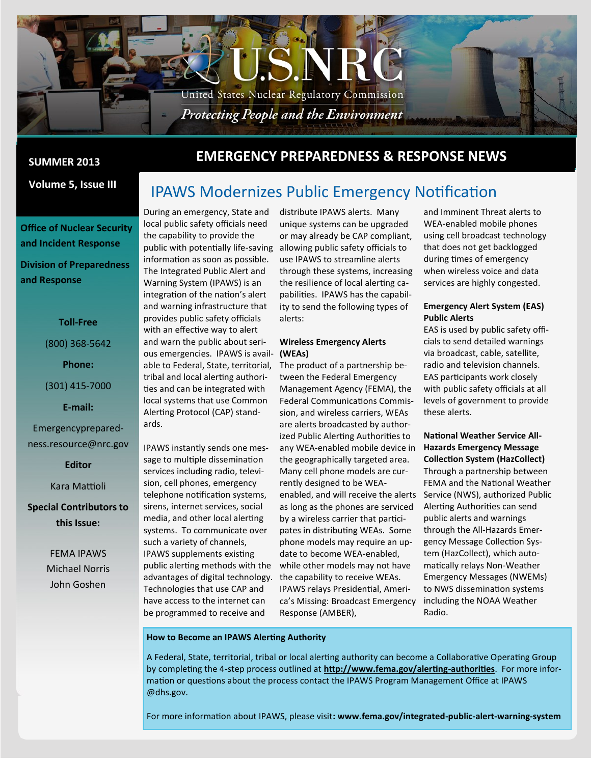

**Volume 5, Issue III**

**Office of Nuclear Security and Incident Response Division of Preparedness and Response**

#### **Toll-Free**

(800) 368-5642

**Phone:**

(301) 415-7000

**E-mail:**

Emergencypreparedness.resource@nrc.gov

**Editor**

Kara Mattioli

**Special Contributors to this Issue:**

> FEMA IPAWS Michael Norris John Goshen

## **EMERGENCY PREPAREDNESS & RESPONSE NEWS SUMMER 2013**

# IPAWS Modernizes Public Emergency Notification

During an emergency, State and local public safety officials need the capability to provide the public with potentially life-saving allowing public safety officials to information as soon as possible. The Integrated Public Alert and Warning System (IPAWS) is an integration of the nation's alert and warning infrastructure that provides public safety officials with an effective way to alert and warn the public about serious emergencies. IPAWS is avail-**(WEAs)** able to Federal, State, territorial, The product of a partnership betribal and local alerting authorities and can be integrated with local systems that use Common Alerting Protocol (CAP) standards.

IPAWS instantly sends one message to multiple dissemination services including radio, television, cell phones, emergency telephone notification systems, sirens, internet services, social media, and other local alerting systems. To communicate over such a variety of channels, IPAWS supplements existing public alerting methods with the advantages of digital technology. the capability to receive WEAs. Technologies that use CAP and have access to the internet can be programmed to receive and

distribute IPAWS alerts. Many unique systems can be upgraded or may already be CAP compliant, use IPAWS to streamline alerts through these systems, increasing the resilience of local alerting capabilities. IPAWS has the capability to send the following types of alerts:

# **Wireless Emergency Alerts**

tween the Federal Emergency Management Agency (FEMA), the Federal Communications Commission, and wireless carriers, WEAs are alerts broadcasted by authorized Public Alerting Authorities to any WEA-enabled mobile device in the geographically targeted area. Many cell phone models are currently designed to be WEAenabled, and will receive the alerts as long as the phones are serviced by a wireless carrier that participates in distributing WEAs. Some phone models may require an update to become WEA-enabled, while other models may not have IPAWS relays Presidential, America's Missing: Broadcast Emergency Response (AMBER),

and Imminent Threat alerts to WEA-enabled mobile phones using cell broadcast technology that does not get backlogged during times of emergency when wireless voice and data services are highly congested.

#### **Emergency Alert System (EAS) Public Alerts**

EAS is used by public safety officials to send detailed warnings via broadcast, cable, satellite, radio and television channels. EAS participants work closely with public safety officials at all levels of government to provide these alerts.

**National Weather Service All-Hazards Emergency Message Collection System (HazCollect)** Through a partnership between FEMA and the National Weather Service (NWS), authorized Public Alerting Authorities can send public alerts and warnings through the All-Hazards Emergency Message Collection System (HazCollect), which automatically relays Non-Weather Emergency Messages (NWEMs) to NWS dissemination systems including the NOAA Weather Radio.

#### **How to Become an IPAWS Alerting Authority**

A Federal, State, territorial, tribal or local alerting authority can become a Collaborative Operating Group by completing the 4-step process outlined at **[http://www.fema.gov/alerting](http://www.fema.gov/alerting-authorities)-authorities**. For more information or questions about the process contact the IPAWS Program Management Office at IPAWS @dhs.gov.

For more information about IPAWS, please visit**: www.fema.gov/integrated-public-alert-warning-system**